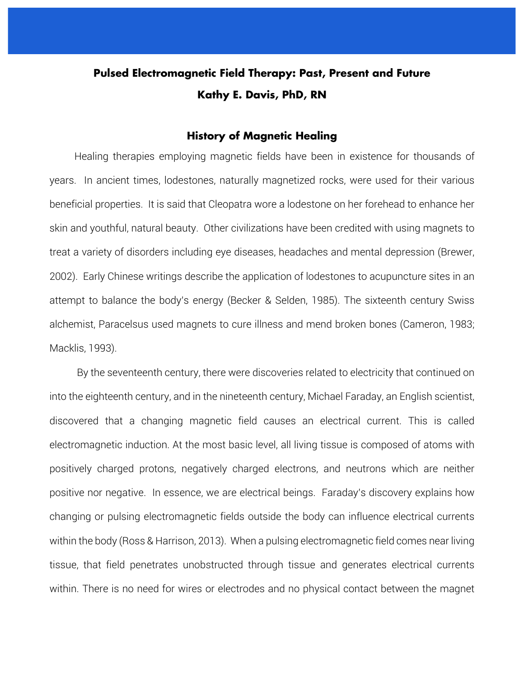# **Pulsed Electromagnetic Field Therapy: Past, Present and Future Kathy E. Davis, PhD, RN**

#### **History of Magnetic Healing**

 Healing therapies employing magnetic fields have been in existence for thousands of years. In ancient times, lodestones, naturally magnetized rocks, were used for their various beneficial properties. It is said that Cleopatra wore a lodestone on her forehead to enhance her skin and youthful, natural beauty. Other civilizations have been credited with using magnets to treat a variety of disorders including eye diseases, headaches and mental depression (Brewer, 2002). Early Chinese writings describe the application of lodestones to acupuncture sites in an attempt to balance the body's energy (Becker & Selden, 1985). The sixteenth century Swiss alchemist, Paracelsus used magnets to cure illness and mend broken bones (Cameron, 1983; Macklis, 1993).

 By the seventeenth century, there were discoveries related to electricity that continued on into the eighteenth century, and in the nineteenth century, Michael Faraday, an English scientist, discovered that a changing magnetic field causes an electrical current. This is called electromagnetic induction. At the most basic level, all living tissue is composed of atoms with positively charged protons, negatively charged electrons, and neutrons which are neither positive nor negative. In essence, we are electrical beings. Faraday's discovery explains how changing or pulsing electromagnetic fields outside the body can influence electrical currents within the body (Ross & Harrison, 2013). When a pulsing electromagnetic field comes near living tissue, that field penetrates unobstructed through tissue and generates electrical currents within. There is no need for wires or electrodes and no physical contact between the magnet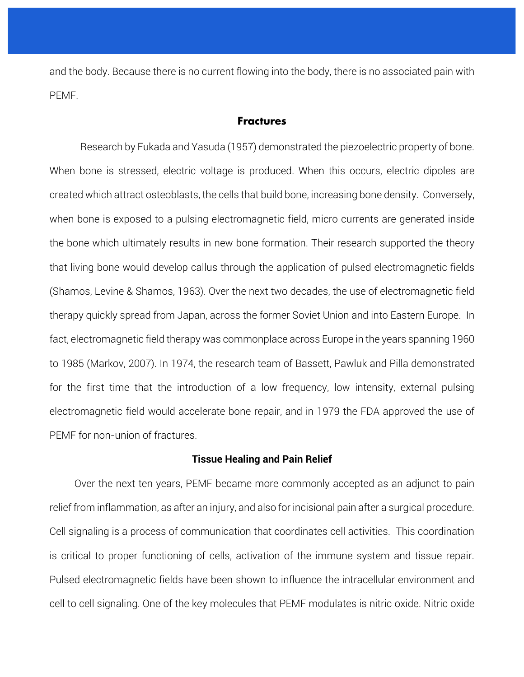and the body. Because there is no current flowing into the body, there is no associated pain with PEMF.

#### **Fractures**

Research by Fukada and Yasuda (1957) demonstrated the piezoelectric property of bone. When bone is stressed, electric voltage is produced. When this occurs, electric dipoles are created which attract osteoblasts, the cells that build bone, increasing bone density. Conversely, when bone is exposed to a pulsing electromagnetic field, micro currents are generated inside the bone which ultimately results in new bone formation. Their research supported the theory that living bone would develop callus through the application of pulsed electromagnetic fields (Shamos, Levine & Shamos, 1963). Over the next two decades, the use of electromagnetic field therapy quickly spread from Japan, across the former Soviet Union and into Eastern Europe. In fact, electromagnetic field therapy was commonplace across Europe in the years spanning 1960 to 1985 (Markov, 2007). In 1974, the research team of Bassett, Pawluk and Pilla demonstrated for the first time that the introduction of a low frequency, low intensity, external pulsing electromagnetic field would accelerate bone repair, and in 1979 the FDA approved the use of PEMF for non-union of fractures.

#### **Tissue Healing and Pain Relief**

 Over the next ten years, PEMF became more commonly accepted as an adjunct to pain relief from inflammation, as after an injury, and also for incisional pain after a surgical procedure. Cell signaling is a process of communication that coordinates cell activities. This coordination is critical to proper functioning of cells, activation of the immune system and tissue repair. Pulsed electromagnetic fields have been shown to influence the intracellular environment and cell to cell signaling. One of the key molecules that PEMF modulates is nitric oxide. Nitric oxide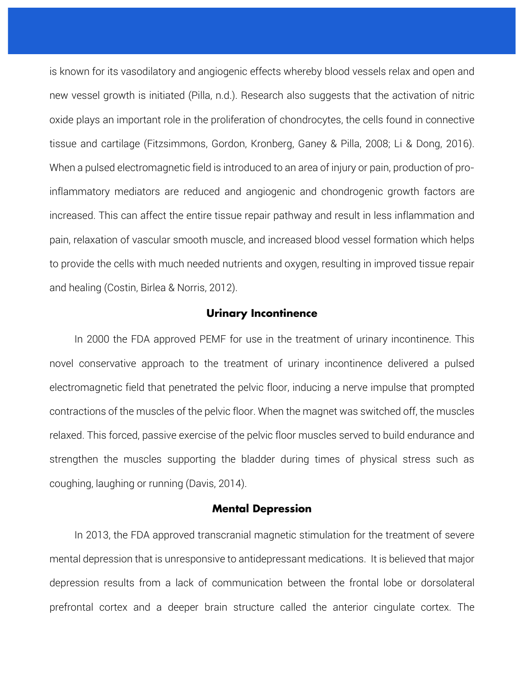is known for its vasodilatory and angiogenic effects whereby blood vessels relax and open and new vessel growth is initiated (Pilla, n.d.). Research also suggests that the activation of nitric oxide plays an important role in the proliferation of chondrocytes, the cells found in connective tissue and cartilage (Fitzsimmons, Gordon, Kronberg, Ganey & Pilla, 2008; Li & Dong, 2016). When a pulsed electromagnetic field is introduced to an area of injury or pain, production of proinflammatory mediators are reduced and angiogenic and chondrogenic growth factors are increased. This can affect the entire tissue repair pathway and result in less inflammation and pain, relaxation of vascular smooth muscle, and increased blood vessel formation which helps to provide the cells with much needed nutrients and oxygen, resulting in improved tissue repair and healing (Costin, Birlea & Norris, 2012).

## **Urinary Incontinence**

 In 2000 the FDA approved PEMF for use in the treatment of urinary incontinence. This novel conservative approach to the treatment of urinary incontinence delivered a pulsed electromagnetic field that penetrated the pelvic floor, inducing a nerve impulse that prompted contractions of the muscles of the pelvic floor. When the magnet was switched off, the muscles relaxed. This forced, passive exercise of the pelvic floor muscles served to build endurance and strengthen the muscles supporting the bladder during times of physical stress such as coughing, laughing or running (Davis, 2014).

## **Mental Depression**

 In 2013, the FDA approved transcranial magnetic stimulation for the treatment of severe mental depression that is unresponsive to antidepressant medications. It is believed that major depression results from a lack of communication between the frontal lobe or dorsolateral prefrontal cortex and a deeper brain structure called the anterior cingulate cortex. The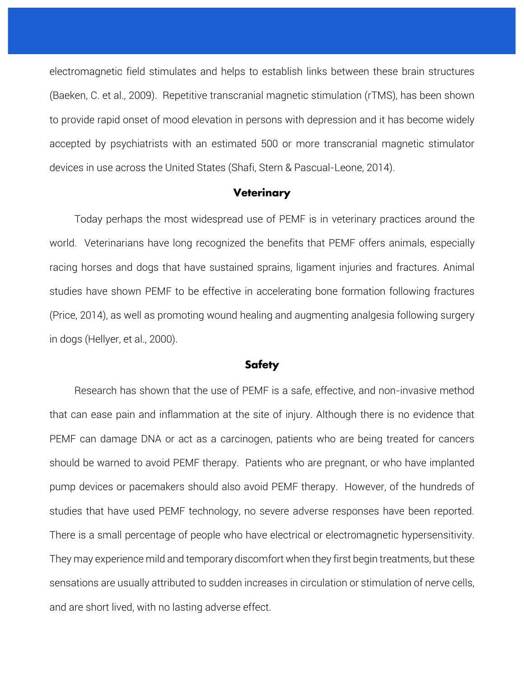electromagnetic field stimulates and helps to establish links between these brain structures (Baeken, C. et al., 2009). Repetitive transcranial magnetic stimulation (rTMS), has been shown to provide rapid onset of mood elevation in persons with depression and it has become widely accepted by psychiatrists with an estimated 500 or more transcranial magnetic stimulator devices in use across the United States (Shafi, Stern & Pascual-Leone, 2014).

## **Veterinary**

 Today perhaps the most widespread use of PEMF is in veterinary practices around the world. Veterinarians have long recognized the benefits that PEMF offers animals, especially racing horses and dogs that have sustained sprains, ligament injuries and fractures. Animal studies have shown PEMF to be effective in accelerating bone formation following fractures (Price, 2014), as well as promoting wound healing and augmenting analgesia following surgery in dogs (Hellyer, et al., 2000).

#### **Safety**

 Research has shown that the use of PEMF is a safe, effective, and non-invasive method that can ease pain and inflammation at the site of injury. Although there is no evidence that PEMF can damage DNA or act as a carcinogen, patients who are being treated for cancers should be warned to avoid PEMF therapy. Patients who are pregnant, or who have implanted pump devices or pacemakers should also avoid PEMF therapy. However, of the hundreds of studies that have used PEMF technology, no severe adverse responses have been reported. There is a small percentage of people who have electrical or electromagnetic hypersensitivity. They may experience mild and temporary discomfort when they first begin treatments, but these sensations are usually attributed to sudden increases in circulation or stimulation of nerve cells, and are short lived, with no lasting adverse effect.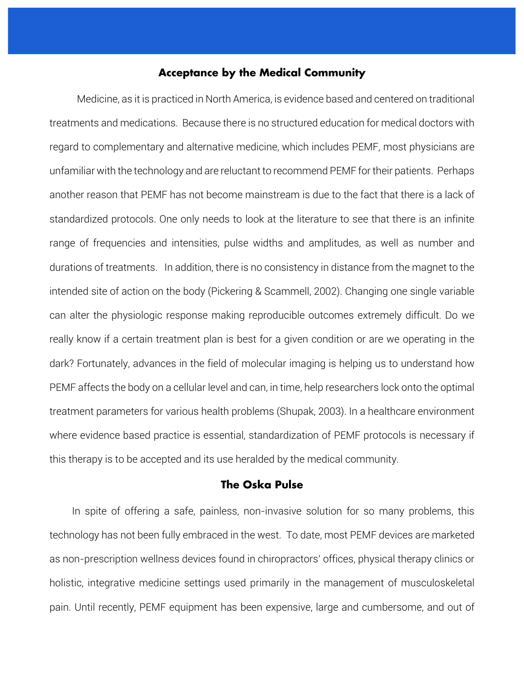# **Acceptance by the Medical Community**

 Medicine, as it is practiced in North America, is evidence based and centered on traditional treatments and medications. Because there is no structured education for medical doctors with regard to complementary and alternative medicine, which includes PEMF, most physicians are unfamiliar with the technology and are reluctant to recommend PEMF for their patients. Perhaps another reason that PEMF has not become mainstream is due to the fact that there is a lack of standardized protocols. One only needs to look at the literature to see that there is an infinite range of frequencies and intensities, pulse widths and amplitudes, as well as number and durations of treatments. In addition, there is no consistency in distance from the magnet to the intended site of action on the body (Pickering & Scammell, 2002). Changing one single variable can alter the physiologic response making reproducible outcomes extremely difficult. Do we really know if a certain treatment plan is best for a given condition or are we operating in the dark? Fortunately, advances in the field of molecular imaging is helping us to understand how PEMF affects the body on a cellular level and can, in time, help researchers lock onto the optimal treatment parameters for various health problems (Shupak, 2003). In a healthcare environment where evidence based practice is essential, standardization of PEMF protocols is necessary if this therapy is to be accepted and its use heralded by the medical community.

# **The Oska Pulse**

 In spite of offering a safe, painless, non-invasive solution for so many problems, this technology has not been fully embraced in the west. To date, most PEMF devices are marketed as non-prescription wellness devices found in chiropractors' offices, physical therapy clinics or holistic, integrative medicine settings used primarily in the management of musculoskeletal pain. Until recently, PEMF equipment has been expensive, large and cumbersome, and out of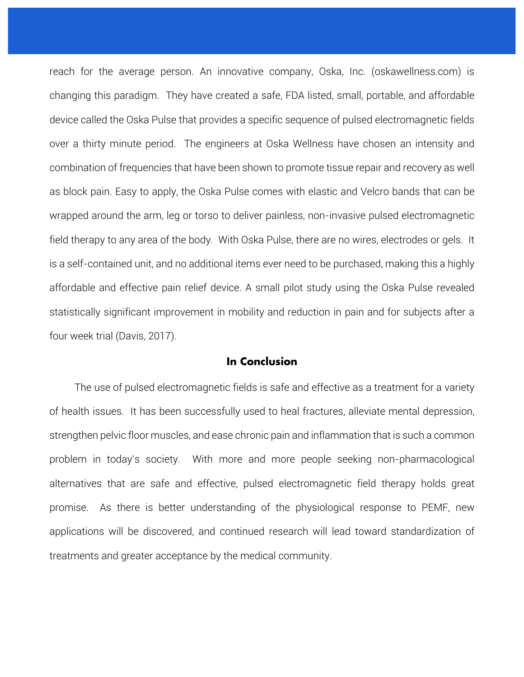reach for the average person. An innovative company, Oska, Inc. (oskawellness.com) is changing this paradigm. They have created a safe, FDA listed, small, portable, and affordable device called the Oska Pulse that provides a specific sequence of pulsed electromagnetic fields over a thirty minute period. The engineers at Oska Wellness have chosen an intensity and combination of frequencies that have been shown to promote tissue repair and recovery as well as block pain. Easy to apply, the Oska Pulse comes with elastic and Velcro bands that can be wrapped around the arm, leg or torso to deliver painless, non-invasive pulsed electromagnetic field therapy to any area of the body. With Oska Pulse, there are no wires, electrodes or gels. It is a self-contained unit, and no additional items ever need to be purchased, making this a highly affordable and effective pain relief device. A small pilot study using the Oska Pulse revealed statistically significant improvement in mobility and reduction in pain and for subjects after a four week trial (Davis, 2017).

## **In Conclusion**

 The use of pulsed electromagnetic fields is safe and effective as a treatment for a variety of health issues. It has been successfully used to heal fractures, alleviate mental depression, strengthen pelvic floor muscles, and ease chronic pain and inflammation that is such a common problem in today's society. With more and more people seeking non-pharmacological alternatives that are safe and effective, pulsed electromagnetic field therapy holds great promise. As there is better understanding of the physiological response to PEMF, new applications will be discovered, and continued research will lead toward standardization of treatments and greater acceptance by the medical community.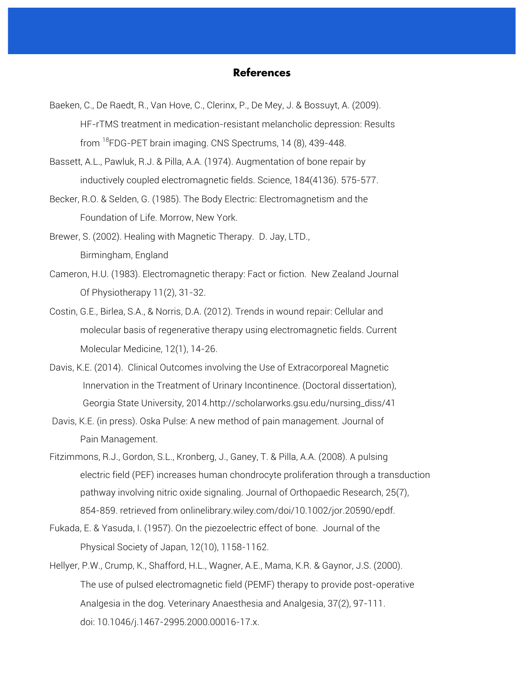## **References**

- Baeken, C., De Raedt, R., Van Hove, C., Clerinx, P., De Mey, J. & Bossuyt, A. (2009). HF-rTMS treatment in medication-resistant melancholic depression: Results from  $^{18}$ FDG-PET brain imaging. CNS Spectrums, 14 (8), 439-448.
- Bassett, A.L., Pawluk, R.J. & Pilla, A.A. (1974). Augmentation of bone repair by inductively coupled electromagnetic fields. Science, 184(4136). 575-577.
- Becker, R.O. & Selden, G. (1985). The Body Electric: Electromagnetism and the Foundation of Life. Morrow, New York.
- Brewer, S. (2002). Healing with Magnetic Therapy. D. Jay, LTD., Birmingham, England
- Cameron, H.U. (1983). Electromagnetic therapy: Fact or fiction. New Zealand Journal Of Physiotherapy 11(2), 31-32.
- Costin, G.E., Birlea, S.A., & Norris, D.A. (2012). Trends in wound repair: Cellular and molecular basis of regenerative therapy using electromagnetic fields. Current Molecular Medicine, 12(1), 14-26.
- Davis, K.E. (2014). Clinical Outcomes involving the Use of Extracorporeal Magnetic Innervation in the Treatment of Urinary Incontinence. (Doctoral dissertation), Georgia State University, 2014.http://scholarworks.gsu.edu/nursing\_diss/41
- Davis, K.E. (in press). Oska Pulse: A new method of pain management. Journal of Pain Management.
- Fitzimmons, R.J., Gordon, S.L., Kronberg, J., Ganey, T. & Pilla, A.A. (2008). A pulsing electric field (PEF) increases human chondrocyte proliferation through a transduction pathway involving nitric oxide signaling. Journal of Orthopaedic Research, 25(7), 854-859. retrieved from onlinelibrary.wiley.com/doi/10.1002/jor.20590/epdf.
- Fukada, E. & Yasuda, I. (1957). On the piezoelectric effect of bone. Journal of the Physical Society of Japan, 12(10), 1158-1162.
- Hellyer, P.W., Crump, K., Shafford, H.L., Wagner, A.E., Mama, K.R. & Gaynor, J.S. (2000). The use of pulsed electromagnetic field (PEMF) therapy to provide post-operative Analgesia in the dog. Veterinary Anaesthesia and Analgesia, 37(2), 97-111. doi: 10.1046/j.1467-2995.2000.00016-17.x.